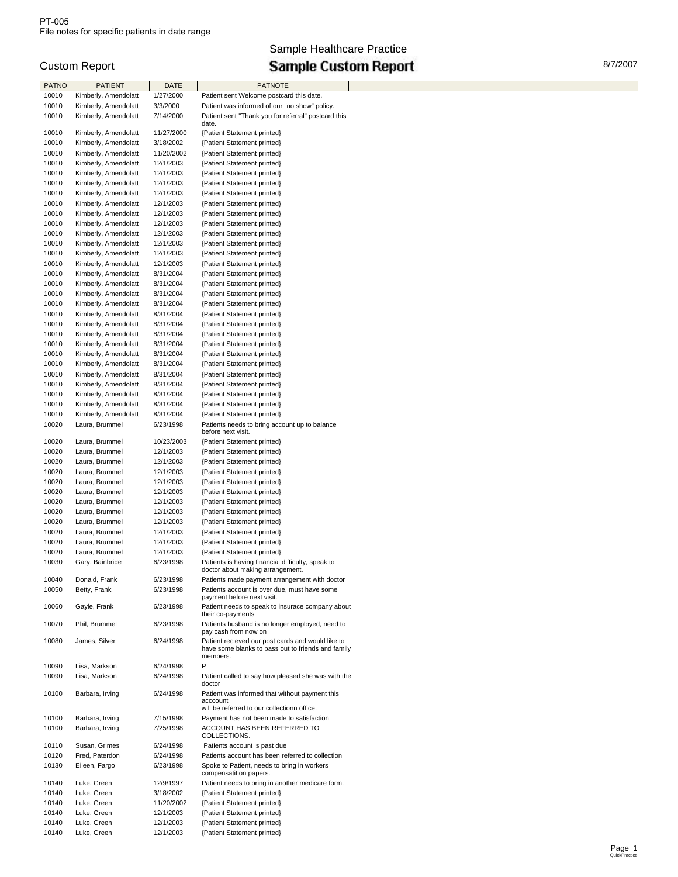# Sample Healthcare Practice Custom Report **Custom Custom Report Custom Report Custom Report Custom Report**

| <b>PATNO</b> | <b>PATIENT</b>       | DATE       | <b>PATNOTE</b>                                                                        |  |
|--------------|----------------------|------------|---------------------------------------------------------------------------------------|--|
| 10010        | Kimberly, Amendolatt | 1/27/2000  | Patient sent Welcome postcard this date.                                              |  |
| 10010        | Kimberly, Amendolatt | 3/3/2000   | Patient was informed of our "no show" policy.                                         |  |
| 10010        |                      |            |                                                                                       |  |
|              | Kimberly, Amendolatt | 7/14/2000  | Patient sent "Thank you for referral" postcard this<br>date.                          |  |
| 10010        | Kimberly, Amendolatt | 11/27/2000 | {Patient Statement printed}                                                           |  |
| 10010        | Kimberly, Amendolatt | 3/18/2002  | {Patient Statement printed}                                                           |  |
|              |                      |            | {Patient Statement printed}                                                           |  |
| 10010        | Kimberly, Amendolatt | 11/20/2002 |                                                                                       |  |
| 10010        | Kimberly, Amendolatt | 12/1/2003  | {Patient Statement printed}                                                           |  |
| 10010        | Kimberly, Amendolatt | 12/1/2003  | {Patient Statement printed}                                                           |  |
| 10010        | Kimberly, Amendolatt | 12/1/2003  | {Patient Statement printed}                                                           |  |
| 10010        | Kimberly, Amendolatt | 12/1/2003  | {Patient Statement printed}                                                           |  |
| 10010        | Kimberly, Amendolatt | 12/1/2003  | {Patient Statement printed}                                                           |  |
| 10010        | Kimberly, Amendolatt | 12/1/2003  | {Patient Statement printed}                                                           |  |
| 10010        | Kimberly, Amendolatt | 12/1/2003  | {Patient Statement printed}                                                           |  |
| 10010        | Kimberly, Amendolatt | 12/1/2003  | {Patient Statement printed}                                                           |  |
| 10010        | Kimberly, Amendolatt | 12/1/2003  | {Patient Statement printed}                                                           |  |
| 10010        | Kimberly, Amendolatt | 12/1/2003  | {Patient Statement printed}                                                           |  |
| 10010        | Kimberly, Amendolatt | 12/1/2003  | {Patient Statement printed}                                                           |  |
| 10010        | Kimberly, Amendolatt | 8/31/2004  | {Patient Statement printed}                                                           |  |
| 10010        | Kimberly, Amendolatt | 8/31/2004  | {Patient Statement printed}                                                           |  |
| 10010        | Kimberly, Amendolatt | 8/31/2004  | {Patient Statement printed}                                                           |  |
| 10010        | Kimberly, Amendolatt |            | {Patient Statement printed}                                                           |  |
|              |                      | 8/31/2004  |                                                                                       |  |
| 10010        | Kimberly, Amendolatt | 8/31/2004  | {Patient Statement printed}                                                           |  |
| 10010        | Kimberly, Amendolatt | 8/31/2004  | {Patient Statement printed}                                                           |  |
| 10010        | Kimberly, Amendolatt | 8/31/2004  | {Patient Statement printed}                                                           |  |
| 10010        | Kimberly, Amendolatt | 8/31/2004  | {Patient Statement printed}                                                           |  |
| 10010        | Kimberly, Amendolatt | 8/31/2004  | {Patient Statement printed}                                                           |  |
| 10010        | Kimberly, Amendolatt | 8/31/2004  | {Patient Statement printed}                                                           |  |
| 10010        | Kimberly, Amendolatt | 8/31/2004  | {Patient Statement printed}                                                           |  |
| 10010        | Kimberly, Amendolatt | 8/31/2004  | {Patient Statement printed}                                                           |  |
| 10010        | Kimberly, Amendolatt | 8/31/2004  | {Patient Statement printed}                                                           |  |
| 10010        | Kimberly, Amendolatt | 8/31/2004  | {Patient Statement printed}                                                           |  |
| 10010        | Kimberly, Amendolatt | 8/31/2004  | {Patient Statement printed}                                                           |  |
| 10020        | Laura, Brummel       | 6/23/1998  | Patients needs to bring account up to balance                                         |  |
|              |                      |            | before next visit.                                                                    |  |
| 10020        | Laura, Brummel       | 10/23/2003 | {Patient Statement printed}                                                           |  |
| 10020        | Laura, Brummel       | 12/1/2003  | {Patient Statement printed}                                                           |  |
| 10020        | Laura, Brummel       | 12/1/2003  | {Patient Statement printed}                                                           |  |
| 10020        | Laura, Brummel       | 12/1/2003  | {Patient Statement printed}                                                           |  |
| 10020        | Laura, Brummel       | 12/1/2003  | {Patient Statement printed}                                                           |  |
| 10020        | Laura, Brummel       | 12/1/2003  | {Patient Statement printed}                                                           |  |
| 10020        | Laura, Brummel       | 12/1/2003  | {Patient Statement printed}                                                           |  |
| 10020        | Laura, Brummel       | 12/1/2003  | {Patient Statement printed}                                                           |  |
| 10020        | Laura, Brummel       | 12/1/2003  | {Patient Statement printed}                                                           |  |
| 10020        |                      |            |                                                                                       |  |
|              | Laura, Brummel       | 12/1/2003  | {Patient Statement printed}                                                           |  |
| 10020        | Laura, Brummel       | 12/1/2003  | {Patient Statement printed}                                                           |  |
| 10020        | Laura, Brummel       | 12/1/2003  | {Patient Statement printed}                                                           |  |
| 10030        | Gary, Bainbride      | 6/23/1998  | Patients is having financial difficulty, speak to<br>doctor about making arrangement. |  |
| 10040        | Donald, Frank        | 6/23/1998  | Patients made payment arrangement with doctor                                         |  |
| 10050        | Betty, Frank         | 6/23/1998  | Patients account is over due, must have some                                          |  |
|              |                      |            | payment before next visit.                                                            |  |
| 10060        | Gayle, Frank         | 6/23/1998  | Patient needs to speak to insurace company about                                      |  |
|              |                      |            | their co-payments                                                                     |  |
| 10070        | Phil, Brummel        | 6/23/1998  | Patients husband is no longer employed, need to                                       |  |
|              |                      |            | pay cash from now on                                                                  |  |
| 10080        | James, Silver        | 6/24/1998  | Patient recieved our post cards and would like to                                     |  |
|              |                      |            | have some blanks to pass out to friends and family<br>members.                        |  |
| 10090        | Lisa, Markson        | 6/24/1998  | P                                                                                     |  |
| 10090        |                      |            |                                                                                       |  |
|              | Lisa, Markson        | 6/24/1998  | Patient called to say how pleased she was with the<br>doctor                          |  |
| 10100        | Barbara, Irving      | 6/24/1998  | Patient was informed that without payment this                                        |  |
|              |                      |            | acccount                                                                              |  |
|              |                      |            | will be referred to our collectionn office.                                           |  |
| 10100        | Barbara, Irving      | 7/15/1998  | Payment has not been made to satisfaction                                             |  |
| 10100        | Barbara, Irving      | 7/25/1998  | ACCOUNT HAS BEEN REFERRED TO                                                          |  |
|              |                      |            | COLLECTIONS.                                                                          |  |
| 10110        | Susan, Grimes        | 6/24/1998  | Patients account is past due                                                          |  |
| 10120        | Fred, Paterdon       | 6/24/1998  | Patients account has been referred to collection                                      |  |
| 10130        | Eileen, Fargo        | 6/23/1998  | Spoke to Patient, needs to bring in workers                                           |  |
|              |                      |            | compensatition papers.                                                                |  |
| 10140        | Luke, Green          | 12/9/1997  | Patient needs to bring in another medicare form.                                      |  |
| 10140        | Luke, Green          | 3/18/2002  | {Patient Statement printed}                                                           |  |
| 10140        | Luke, Green          | 11/20/2002 | {Patient Statement printed}                                                           |  |
| 10140        | Luke, Green          | 12/1/2003  | {Patient Statement printed}                                                           |  |
| 10140        | Luke, Green          | 12/1/2003  | {Patient Statement printed}                                                           |  |
| 10140        | Luke, Green          | 12/1/2003  | {Patient Statement printed}                                                           |  |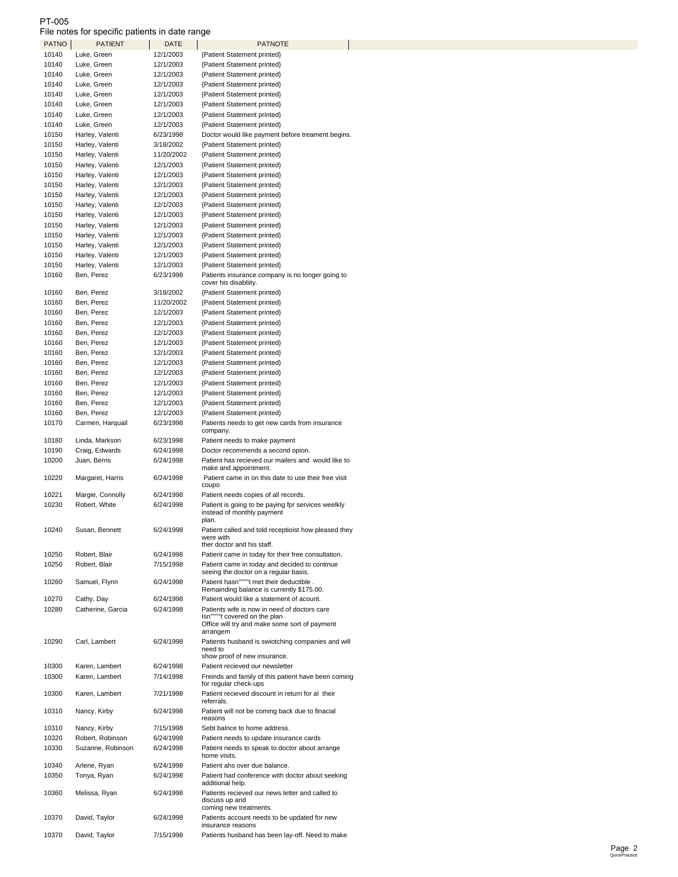### PT-005

File notes for specific patients in date range

|       | <b>PATIENT</b>    | DATE       | <b>PATNOTE</b>                                                              |
|-------|-------------------|------------|-----------------------------------------------------------------------------|
| 10140 | Luke, Green       | 12/1/2003  | {Patient Statement printed}                                                 |
| 10140 | Luke, Green       | 12/1/2003  | {Patient Statement printed}                                                 |
| 10140 | Luke, Green       | 12/1/2003  | {Patient Statement printed}                                                 |
| 10140 | Luke, Green       | 12/1/2003  |                                                                             |
|       |                   |            | {Patient Statement printed}                                                 |
| 10140 | Luke, Green       | 12/1/2003  | {Patient Statement printed}                                                 |
| 10140 | Luke, Green       | 12/1/2003  | {Patient Statement printed}                                                 |
| 10140 | Luke, Green       | 12/1/2003  | {Patient Statement printed}                                                 |
| 10140 | Luke, Green       | 12/1/2003  | {Patient Statement printed}                                                 |
| 10150 | Harley, Valenti   | 6/23/1998  | Doctor would like payment before treament begins.                           |
| 10150 | Harley, Valenti   | 3/18/2002  | {Patient Statement printed}                                                 |
| 10150 | Harley, Valenti   | 11/20/2002 | {Patient Statement printed}                                                 |
|       |                   |            |                                                                             |
| 10150 | Harley, Valenti   | 12/1/2003  | {Patient Statement printed}                                                 |
| 10150 | Harley, Valenti   | 12/1/2003  | {Patient Statement printed}                                                 |
| 10150 | Harley, Valenti   | 12/1/2003  | {Patient Statement printed}                                                 |
| 10150 | Harley, Valenti   | 12/1/2003  | {Patient Statement printed}                                                 |
| 10150 | Harley, Valenti   | 12/1/2003  | {Patient Statement printed}                                                 |
| 10150 | Harley, Valenti   | 12/1/2003  | {Patient Statement printed}                                                 |
| 10150 | Harley, Valenti   | 12/1/2003  | {Patient Statement printed}                                                 |
| 10150 | Harley, Valenti   | 12/1/2003  | {Patient Statement printed}                                                 |
|       |                   |            |                                                                             |
| 10150 | Harley, Valenti   | 12/1/2003  | {Patient Statement printed}                                                 |
| 10150 | Harley, Valenti   | 12/1/2003  | {Patient Statement printed}                                                 |
| 10150 | Harley, Valenti   | 12/1/2003  | {Patient Statement printed}                                                 |
| 10160 | Ben, Perez        | 6/23/1998  | Patients insurance company is no longer going to                            |
|       |                   |            | cover his disabliity.                                                       |
| 10160 | Ben, Perez        | 3/18/2002  | {Patient Statement printed}                                                 |
| 10160 | Ben, Perez        | 11/20/2002 | {Patient Statement printed}                                                 |
| 10160 | Ben, Perez        | 12/1/2003  | {Patient Statement printed}                                                 |
| 10160 | Ben, Perez        | 12/1/2003  | {Patient Statement printed}                                                 |
| 10160 | Ben, Perez        | 12/1/2003  | {Patient Statement printed}                                                 |
| 10160 | Ben, Perez        | 12/1/2003  | {Patient Statement printed}                                                 |
|       |                   |            |                                                                             |
| 10160 | Ben, Perez        | 12/1/2003  | {Patient Statement printed}                                                 |
| 10160 | Ben, Perez        | 12/1/2003  | {Patient Statement printed}                                                 |
| 10160 | Ben, Perez        | 12/1/2003  | {Patient Statement printed}                                                 |
| 10160 | Ben, Perez        | 12/1/2003  | {Patient Statement printed}                                                 |
| 10160 | Ben, Perez        | 12/1/2003  | {Patient Statement printed}                                                 |
| 10160 | Ben, Perez        | 12/1/2003  | {Patient Statement printed}                                                 |
| 10160 | Ben, Perez        | 12/1/2003  | {Patient Statement printed}                                                 |
| 10170 | Carmen, Harquail  | 6/23/1998  | Patients needs to get new cards from insurance                              |
|       |                   |            | company.                                                                    |
| 10180 | Linda, Markson    | 6/23/1998  | Patient needs to make payment                                               |
| 10190 | Craig, Edwards    | 6/24/1998  | Doctor recommends a second opion.                                           |
|       |                   |            |                                                                             |
| 10200 | Juan, Berns       | 6/24/1998  | Patient has recieved our mailers and would like to<br>make and appointment. |
| 10220 | Margaret, Harris  | 6/24/1998  | Patient came in on this date to use their free visit                        |
|       |                   |            | coupo                                                                       |
| 10221 | Margie, Connolly  | 6/24/1998  | Patient needs copies of all records.                                        |
| 10230 | Robert, White     |            | Patient is going to be paying fpr services weelkly                          |
|       |                   |            |                                                                             |
|       |                   | 6/24/1998  |                                                                             |
|       |                   |            | instead of monthly payment<br>plan.                                         |
|       |                   |            |                                                                             |
| 10240 | Susan, Bennett    | 6/24/1998  | Patient called and told receptioist how pleased they<br>were with           |
|       |                   |            | ther doctor and his staff.                                                  |
| 10250 | Robert, Blair     | 6/24/1998  | Patient came in today for their free consultation.                          |
| 10250 | Robert, Blair     | 7/15/1998  | Patient came in today and decided to continue                               |
|       |                   |            | seeing the doctor on a regular basis.                                       |
| 10260 | Samuel, Flynn     | 6/24/1998  | Patient hasn""""t met their deductible.                                     |
|       |                   |            | Remainding balance is currently \$175.00.                                   |
| 10270 | Cathy, Day        | 6/24/1998  | Patient would like a statement of acount.                                   |
| 10280 | Catherine, Garcia | 6/24/1998  | Patients wife is now in need of doctors care                                |
|       |                   |            | Isn""""t covered on the plan.                                               |
|       |                   |            | Office will try and make some sort of payment                               |
|       |                   |            | arrangem                                                                    |
| 10290 | Carl, Lambert     | 6/24/1998  | Patients husband is swiotching companies and will                           |
|       |                   |            | need to                                                                     |
|       |                   |            | show proof of new insurance.                                                |
| 10300 | Karen, Lambert    | 6/24/1998  | Patient recieved our newsletter                                             |
| 10300 | Karen, Lambert    | 7/14/1998  | Freinds and family of this patient have been coming                         |
|       |                   |            | for regular check-ups                                                       |
| 10300 | Karen, Lambert    | 7/21/1998  | Patient recieved discount in return for al their                            |
|       |                   |            | referrals.                                                                  |
| 10310 | Nancy, Kirby      | 6/24/1998  | Patient will not be coming back due to finacial<br>reasons                  |
|       |                   |            |                                                                             |
| 10310 | Nancy, Kirby      | 7/15/1998  | Sebt balnce to home address.                                                |
| 10320 | Robert, Robinson  | 6/24/1998  | Patient needs to update insurance cards                                     |
| 10330 | Suzanne, Robinson | 6/24/1998  | Patient needs to speak to doctor about arrange                              |
|       |                   |            | home visits.                                                                |
| 10340 | Arlene, Ryan      | 6/24/1998  | Patient ahs over due balance.                                               |
| 10350 | Tonya, Ryan       | 6/24/1998  | Patient had conference with doctor about seeking                            |
|       |                   |            | additional help.                                                            |
| 10360 | Melissa, Ryan     | 6/24/1998  | Patients recieved our news letter and called to<br>discuss up and           |
|       |                   |            | coming new treatments.                                                      |
| 10370 | David, Taylor     | 6/24/1998  | Patients account needs to be updated for new                                |
|       |                   |            | insurance reasons                                                           |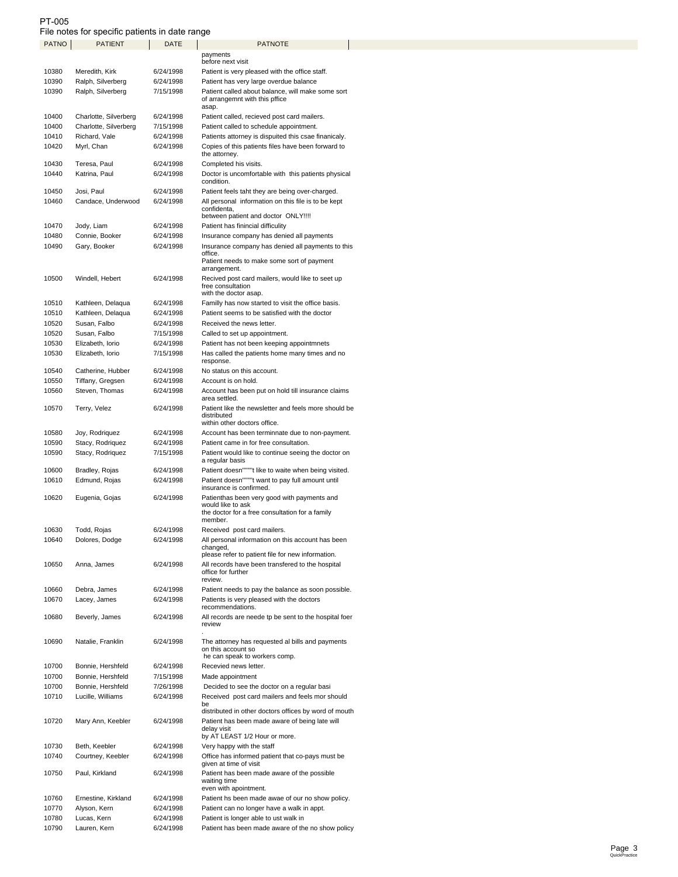## PT-005 File notes for specific patients in date range

| PATNO | <b>PATIENT</b>        | DATE                                                | <b>PATNOTE</b>                                                         |  |  |
|-------|-----------------------|-----------------------------------------------------|------------------------------------------------------------------------|--|--|
|       |                       |                                                     | payments                                                               |  |  |
|       |                       |                                                     | before next visit                                                      |  |  |
| 10380 | Meredith, Kirk        | 6/24/1998                                           | Patient is very pleased with the office staff.                         |  |  |
| 10390 | Ralph, Silverberg     | 6/24/1998                                           | Patient has very large overdue balance                                 |  |  |
| 10390 | Ralph, Silverberg     | 7/15/1998                                           | Patient called about balance, will make some sort                      |  |  |
|       |                       |                                                     | of arrangemnt with this pffice<br>asap.                                |  |  |
| 10400 | Charlotte, Silverberg | 6/24/1998                                           | Patient called, recieved post card mailers.                            |  |  |
|       |                       |                                                     |                                                                        |  |  |
| 10400 | Charlotte, Silverberg | 7/15/1998                                           | Patient called to schedule appointment.                                |  |  |
| 10410 | Richard, Vale         | 6/24/1998                                           | Patients attorney is dispuited this csae finanicaly.                   |  |  |
| 10420 | Myrl, Chan            | 6/24/1998                                           | Copies of this patients files have been forward to                     |  |  |
|       |                       |                                                     | the attorney.                                                          |  |  |
| 10430 | Teresa, Paul          | 6/24/1998                                           | Completed his visits.                                                  |  |  |
| 10440 | Katrina, Paul         | 6/24/1998                                           | Doctor is uncomfortable with this patients physical                    |  |  |
|       |                       |                                                     | condition.                                                             |  |  |
| 10450 | Josi, Paul            | 6/24/1998<br>6/24/1998                              | Patient feels taht they are being over-charged.                        |  |  |
| 10460 | Candace, Underwood    | All personal information on this file is to be kept |                                                                        |  |  |
|       |                       |                                                     | confidenta,<br>between patient and doctor ONLY!!!!                     |  |  |
| 10470 | Jody, Liam            | 6/24/1998                                           | Patient has finincial difficulity                                      |  |  |
|       |                       |                                                     |                                                                        |  |  |
| 10480 | Connie, Booker        | 6/24/1998                                           | Insurance company has denied all payments                              |  |  |
| 10490 | Gary, Booker          | 6/24/1998                                           | Insurance company has denied all payments to this<br>office.           |  |  |
|       |                       |                                                     | Patient needs to make some sort of payment                             |  |  |
|       |                       |                                                     | arrangement.                                                           |  |  |
| 10500 | Windell, Hebert       | 6/24/1998                                           | Recived post card mailers, would like to seet up                       |  |  |
|       |                       |                                                     | free consultation                                                      |  |  |
|       |                       |                                                     | with the doctor asap.                                                  |  |  |
| 10510 | Kathleen, Delaqua     | 6/24/1998                                           | Familly has now started to visit the office basis.                     |  |  |
| 10510 | Kathleen, Delaqua     | 6/24/1998                                           | Patient seems to be satisfied with the doctor                          |  |  |
| 10520 | Susan, Falbo          | 6/24/1998                                           | Received the news letter.                                              |  |  |
| 10520 | Susan, Falbo          | 7/15/1998                                           | Called to set up appointment.                                          |  |  |
| 10530 | Elizabeth, Iorio      | 6/24/1998                                           | Patient has not been keeping appointmnets                              |  |  |
| 10530 |                       | 7/15/1998                                           | Has called the patients home many times and no                         |  |  |
|       | Elizabeth, Iorio      |                                                     | response.                                                              |  |  |
| 10540 | Catherine, Hubber     | 6/24/1998                                           | No status on this account.                                             |  |  |
| 10550 | Tiffany, Gregsen      | 6/24/1998                                           | Account is on hold.                                                    |  |  |
|       |                       |                                                     |                                                                        |  |  |
| 10560 | Steven, Thomas        | 6/24/1998                                           | Account has been put on hold till insurance claims<br>area settled.    |  |  |
| 10570 | Terry, Velez          | 6/24/1998                                           | Patient like the newsletter and feels more should be                   |  |  |
|       |                       |                                                     | distributed                                                            |  |  |
|       |                       |                                                     | within other doctors office.                                           |  |  |
| 10580 | Joy, Rodriquez        | 6/24/1998                                           | Account has been terminnate due to non-payment.                        |  |  |
| 10590 | Stacy, Rodriquez      | 6/24/1998                                           | Patient came in for free consultation.                                 |  |  |
| 10590 | Stacy, Rodriquez      | 7/15/1998                                           | Patient would like to continue seeing the doctor on                    |  |  |
|       |                       |                                                     | a regular basis                                                        |  |  |
| 10600 | Bradley, Rojas        | 6/24/1998                                           | Patient doesn""""t like to waite when being visited.                   |  |  |
| 10610 | Edmund, Rojas         | 6/24/1998                                           | Patient doesn""""t want to pay full amount until                       |  |  |
|       |                       |                                                     | insurance is confirmed.                                                |  |  |
| 10620 | Eugenia, Gojas        | 6/24/1998                                           | Patienthas been very good with payments and                            |  |  |
|       |                       |                                                     | would like to ask                                                      |  |  |
|       |                       |                                                     | the doctor for a free consultation for a family                        |  |  |
|       |                       |                                                     | member.                                                                |  |  |
| 10630 | Todd, Rojas           | 6/24/1998                                           | Received post card mailers.                                            |  |  |
| 10640 | Dolores, Dodge        | 6/24/1998                                           | All personal information on this account has been                      |  |  |
|       |                       |                                                     | changed,<br>please refer to patient file for new information.          |  |  |
|       |                       |                                                     |                                                                        |  |  |
| 10650 | Anna, James           | 6/24/1998                                           | All records have been transfered to the hospital<br>office for further |  |  |
|       |                       |                                                     | review.                                                                |  |  |
| 10660 | Debra, James          | 6/24/1998                                           | Patient needs to pay the balance as soon possible.                     |  |  |
| 10670 | Lacey, James          | 6/24/1998                                           | Patients is very pleased with the doctors                              |  |  |
|       |                       |                                                     | recommendations.                                                       |  |  |
| 10680 | Beverly, James        | 6/24/1998                                           | All records are neede tp be sent to the hospital foer                  |  |  |
|       |                       |                                                     | review                                                                 |  |  |
|       |                       |                                                     |                                                                        |  |  |
| 10690 | Natalie, Franklin     | 6/24/1998                                           | The attorney has requested al bills and payments                       |  |  |
|       |                       |                                                     | on this account so                                                     |  |  |
|       |                       |                                                     | he can speak to workers comp.                                          |  |  |
| 10700 | Bonnie, Hershfeld     | 6/24/1998                                           | Recevied news letter.                                                  |  |  |
| 10700 | Bonnie, Hershfeld     | 7/15/1998                                           | Made appointment                                                       |  |  |
| 10700 | Bonnie, Hershfeld     | 7/26/1998                                           | Decided to see the doctor on a regular basi                            |  |  |
| 10710 | Lucille, Williams     | 6/24/1998                                           | Received post card mailers and feels mor should                        |  |  |
|       |                       |                                                     | be                                                                     |  |  |
|       |                       |                                                     | distributed in other doctors offices by word of mouth                  |  |  |
| 10720 | Mary Ann, Keebler     | 6/24/1998                                           | Patient has been made aware of being late will                         |  |  |
|       |                       |                                                     | delay visit                                                            |  |  |
|       |                       |                                                     | by AT LEAST 1/2 Hour or more.                                          |  |  |
| 10730 | Beth, Keebler         | 6/24/1998                                           | Very happy with the staff                                              |  |  |
| 10740 | Courtney, Keebler     | 6/24/1998                                           | Office has informed patient that co-pays must be                       |  |  |
|       |                       |                                                     | given at time of visit                                                 |  |  |
| 10750 | Paul, Kirkland        | 6/24/1998                                           | Patient has been made aware of the possible                            |  |  |
|       |                       |                                                     | waiting time<br>even with apointment.                                  |  |  |
|       |                       |                                                     |                                                                        |  |  |
| 10760 | Ernestine, Kirkland   | 6/24/1998                                           | Patient hs been made awae of our no show policy.                       |  |  |
| 10770 | Alyson, Kern          | 6/24/1998                                           | Patient can no longer have a walk in appt.                             |  |  |
| 10780 | Lucas, Kern           | 6/24/1998                                           | Patient is longer able to ust walk in                                  |  |  |
| 10790 | Lauren, Kern          | 6/24/1998                                           | Patient has been made aware of the no show policy                      |  |  |